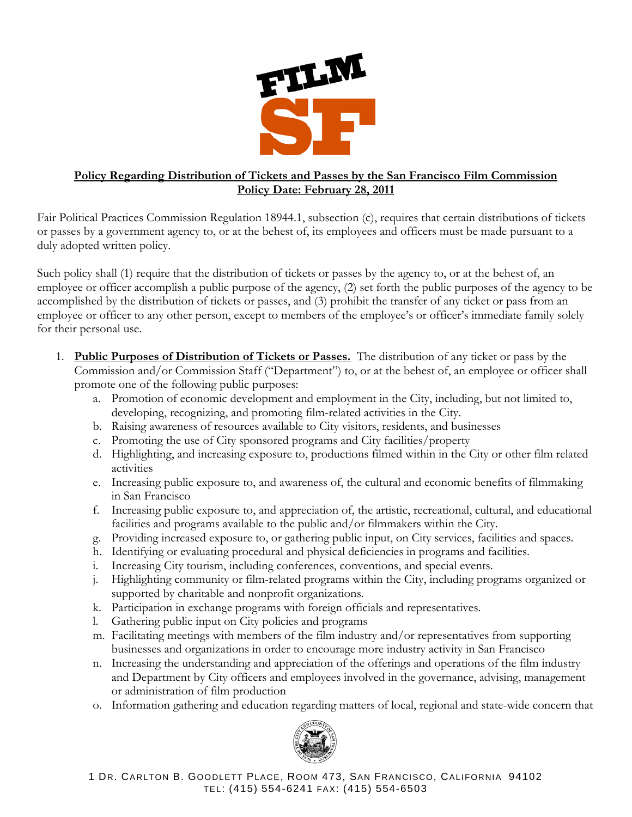

## **Policy Regarding Distribution of Tickets and Passes by the San Francisco Film Commission Policy Date: February 28, 2011**

Fair Political Practices Commission Regulation 18944.1, subsection (c), requires that certain distributions of tickets or passes by a government agency to, or at the behest of, its employees and officers must be made pursuant to a duly adopted written policy.

Such policy shall (1) require that the distribution of tickets or passes by the agency to, or at the behest of, an employee or officer accomplish a public purpose of the agency, (2) set forth the public purposes of the agency to be accomplished by the distribution of tickets or passes, and (3) prohibit the transfer of any ticket or pass from an employee or officer to any other person, except to members of the employee's or officer's immediate family solely for their personal use.

- 1. **Public Purposes of Distribution of Tickets or Passes.** The distribution of any ticket or pass by the Commission and/or Commission Staff ("Department") to, or at the behest of, an employee or officer shall promote one of the following public purposes:
	- a. Promotion of economic development and employment in the City, including, but not limited to, developing, recognizing, and promoting film-related activities in the City.
	- b. Raising awareness of resources available to City visitors, residents, and businesses
	- c. Promoting the use of City sponsored programs and City facilities/property
	- d. Highlighting, and increasing exposure to, productions filmed within in the City or other film related activities
	- e. Increasing public exposure to, and awareness of, the cultural and economic benefits of filmmaking in San Francisco
	- f. Increasing public exposure to, and appreciation of, the artistic, recreational, cultural, and educational facilities and programs available to the public and/or filmmakers within the City.
	- g. Providing increased exposure to, or gathering public input, on City services, facilities and spaces.
	- h. Identifying or evaluating procedural and physical deficiencies in programs and facilities.
	- i. Increasing City tourism, including conferences, conventions, and special events.
	- j. Highlighting community or film-related programs within the City, including programs organized or supported by charitable and nonprofit organizations.
	- k. Participation in exchange programs with foreign officials and representatives.
	- l. Gathering public input on City policies and programs
	- m. Facilitating meetings with members of the film industry and/or representatives from supporting businesses and organizations in order to encourage more industry activity in San Francisco
	- n. Increasing the understanding and appreciation of the offerings and operations of the film industry and Department by City officers and employees involved in the governance, advising, management or administration of film production
	- o. Information gathering and education regarding matters of local, regional and state-wide concern that



1 DR. CARLTON B. GOODLETT PLACE, ROOM 473, SAN FRANCISCO, CALIFORNIA 94102 TEL: (415) 554-6241 FAX: (415) 554-6503